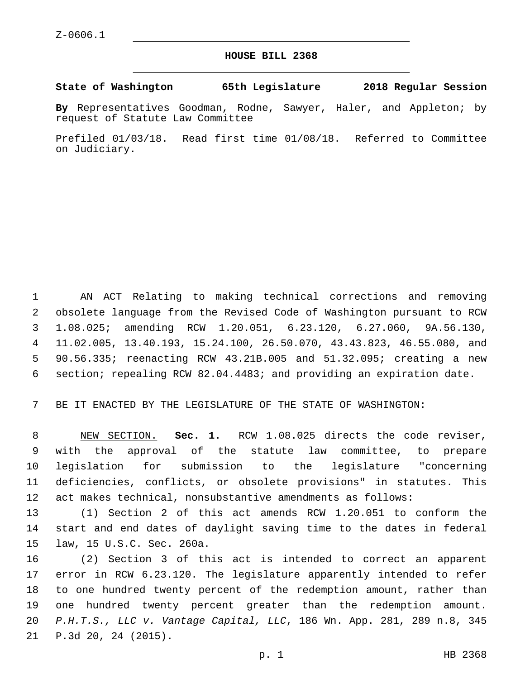## **HOUSE BILL 2368**

## **State of Washington 65th Legislature 2018 Regular Session**

**By** Representatives Goodman, Rodne, Sawyer, Haler, and Appleton; by request of Statute Law Committee

Prefiled 01/03/18. Read first time 01/08/18. Referred to Committee on Judiciary.

 AN ACT Relating to making technical corrections and removing obsolete language from the Revised Code of Washington pursuant to RCW 1.08.025; amending RCW 1.20.051, 6.23.120, 6.27.060, 9A.56.130, 11.02.005, 13.40.193, 15.24.100, 26.50.070, 43.43.823, 46.55.080, and 90.56.335; reenacting RCW 43.21B.005 and 51.32.095; creating a new section; repealing RCW 82.04.4483; and providing an expiration date.

BE IT ENACTED BY THE LEGISLATURE OF THE STATE OF WASHINGTON:

 NEW SECTION. **Sec. 1.** RCW 1.08.025 directs the code reviser, with the approval of the statute law committee, to prepare legislation for submission to the legislature "concerning deficiencies, conflicts, or obsolete provisions" in statutes. This act makes technical, nonsubstantive amendments as follows:

 (1) Section 2 of this act amends RCW 1.20.051 to conform the start and end dates of daylight saving time to the dates in federal 15 law, 15 U.S.C. Sec. 260a.

 (2) Section 3 of this act is intended to correct an apparent error in RCW 6.23.120. The legislature apparently intended to refer to one hundred twenty percent of the redemption amount, rather than one hundred twenty percent greater than the redemption amount. *P.H.T.S., LLC v. Vantage Capital, LLC*, 186 Wn. App. 281, 289 n.8, 345 21 P.3d 20, 24 (2015).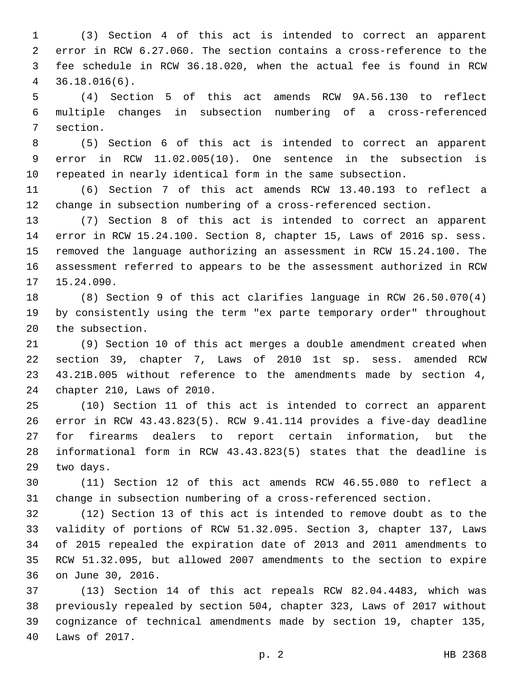(3) Section 4 of this act is intended to correct an apparent error in RCW 6.27.060. The section contains a cross-reference to the fee schedule in RCW 36.18.020, when the actual fee is found in RCW 36.18.016(6).4

 (4) Section 5 of this act amends RCW 9A.56.130 to reflect multiple changes in subsection numbering of a cross-referenced 7 section.

 (5) Section 6 of this act is intended to correct an apparent error in RCW 11.02.005(10). One sentence in the subsection is repeated in nearly identical form in the same subsection.

 (6) Section 7 of this act amends RCW 13.40.193 to reflect a change in subsection numbering of a cross-referenced section.

 (7) Section 8 of this act is intended to correct an apparent error in RCW 15.24.100. Section 8, chapter 15, Laws of 2016 sp. sess. removed the language authorizing an assessment in RCW 15.24.100. The assessment referred to appears to be the assessment authorized in RCW 17 15.24.090.

 (8) Section 9 of this act clarifies language in RCW 26.50.070(4) by consistently using the term "ex parte temporary order" throughout 20 the subsection.

 (9) Section 10 of this act merges a double amendment created when section 39, chapter 7, Laws of 2010 1st sp. sess. amended RCW 43.21B.005 without reference to the amendments made by section 4, 24 chapter 210, Laws of 2010.

 (10) Section 11 of this act is intended to correct an apparent error in RCW 43.43.823(5). RCW 9.41.114 provides a five-day deadline for firearms dealers to report certain information, but the informational form in RCW 43.43.823(5) states that the deadline is 29 two days.

 (11) Section 12 of this act amends RCW 46.55.080 to reflect a change in subsection numbering of a cross-referenced section.

 (12) Section 13 of this act is intended to remove doubt as to the validity of portions of RCW 51.32.095. Section 3, chapter 137, Laws of 2015 repealed the expiration date of 2013 and 2011 amendments to RCW 51.32.095, but allowed 2007 amendments to the section to expire 36 on June 30, 2016.

 (13) Section 14 of this act repeals RCW 82.04.4483, which was previously repealed by section 504, chapter 323, Laws of 2017 without cognizance of technical amendments made by section 19, chapter 135, 40 Laws of 2017.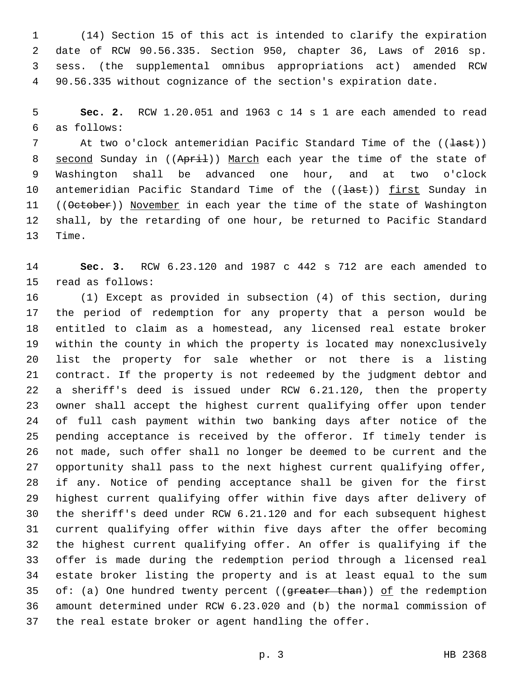(14) Section 15 of this act is intended to clarify the expiration date of RCW 90.56.335. Section 950, chapter 36, Laws of 2016 sp. sess. (the supplemental omnibus appropriations act) amended RCW 90.56.335 without cognizance of the section's expiration date.

 **Sec. 2.** RCW 1.20.051 and 1963 c 14 s 1 are each amended to read as follows:6

7 At two o'clock antemeridian Pacific Standard Time of the ((<del>last</del>)) 8 second Sunday in ((April)) March each year the time of the state of Washington shall be advanced one hour, and at two o'clock 10 antemeridian Pacific Standard Time of the ((<del>last</del>)) first Sunday in 11 ((October)) November in each year the time of the state of Washington shall, by the retarding of one hour, be returned to Pacific Standard 13 Time.

 **Sec. 3.** RCW 6.23.120 and 1987 c 442 s 712 are each amended to 15 read as follows:

 (1) Except as provided in subsection (4) of this section, during the period of redemption for any property that a person would be entitled to claim as a homestead, any licensed real estate broker within the county in which the property is located may nonexclusively list the property for sale whether or not there is a listing contract. If the property is not redeemed by the judgment debtor and a sheriff's deed is issued under RCW 6.21.120, then the property owner shall accept the highest current qualifying offer upon tender of full cash payment within two banking days after notice of the pending acceptance is received by the offeror. If timely tender is not made, such offer shall no longer be deemed to be current and the opportunity shall pass to the next highest current qualifying offer, if any. Notice of pending acceptance shall be given for the first highest current qualifying offer within five days after delivery of the sheriff's deed under RCW 6.21.120 and for each subsequent highest current qualifying offer within five days after the offer becoming the highest current qualifying offer. An offer is qualifying if the offer is made during the redemption period through a licensed real estate broker listing the property and is at least equal to the sum 35 of: (a) One hundred twenty percent ((greater than)) of the redemption amount determined under RCW 6.23.020 and (b) the normal commission of the real estate broker or agent handling the offer.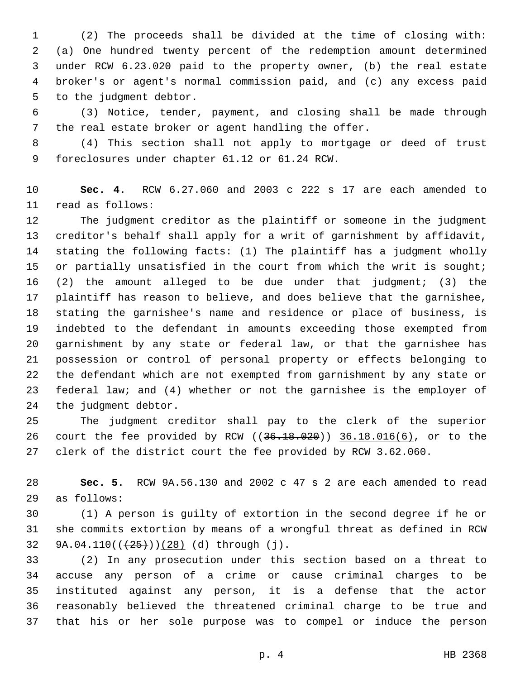(2) The proceeds shall be divided at the time of closing with: (a) One hundred twenty percent of the redemption amount determined under RCW 6.23.020 paid to the property owner, (b) the real estate broker's or agent's normal commission paid, and (c) any excess paid 5 to the judgment debtor.

 (3) Notice, tender, payment, and closing shall be made through the real estate broker or agent handling the offer.

 (4) This section shall not apply to mortgage or deed of trust 9 foreclosures under chapter 61.12 or 61.24 RCW.

 **Sec. 4.** RCW 6.27.060 and 2003 c 222 s 17 are each amended to 11 read as follows:

 The judgment creditor as the plaintiff or someone in the judgment creditor's behalf shall apply for a writ of garnishment by affidavit, stating the following facts: (1) The plaintiff has a judgment wholly 15 or partially unsatisfied in the court from which the writ is sought; (2) the amount alleged to be due under that judgment; (3) the plaintiff has reason to believe, and does believe that the garnishee, stating the garnishee's name and residence or place of business, is indebted to the defendant in amounts exceeding those exempted from garnishment by any state or federal law, or that the garnishee has possession or control of personal property or effects belonging to the defendant which are not exempted from garnishment by any state or federal law; and (4) whether or not the garnishee is the employer of 24 the judgment debtor.

 The judgment creditor shall pay to the clerk of the superior 26 court the fee provided by RCW ((<del>36.18.020</del>)) 36.18.016(6), or to the clerk of the district court the fee provided by RCW 3.62.060.

 **Sec. 5.** RCW 9A.56.130 and 2002 c 47 s 2 are each amended to read as follows:29

 (1) A person is guilty of extortion in the second degree if he or she commits extortion by means of a wrongful threat as defined in RCW 32 9A.04.110( $(\frac{25}{128})$  (d) through (j).

 (2) In any prosecution under this section based on a threat to accuse any person of a crime or cause criminal charges to be instituted against any person, it is a defense that the actor reasonably believed the threatened criminal charge to be true and that his or her sole purpose was to compel or induce the person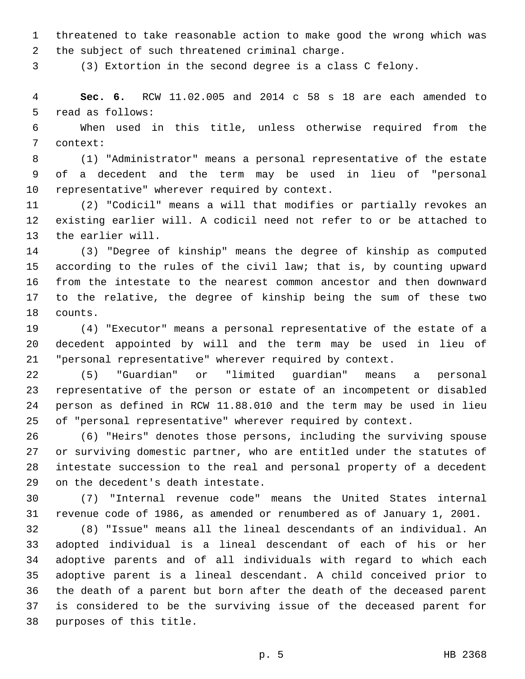threatened to take reasonable action to make good the wrong which was 2 the subject of such threatened criminal charge.

(3) Extortion in the second degree is a class C felony.

 **Sec. 6.** RCW 11.02.005 and 2014 c 58 s 18 are each amended to 5 read as follows:

 When used in this title, unless otherwise required from the 7 context:

 (1) "Administrator" means a personal representative of the estate of a decedent and the term may be used in lieu of "personal 10 representative" wherever required by context.

 (2) "Codicil" means a will that modifies or partially revokes an existing earlier will. A codicil need not refer to or be attached to 13 the earlier will.

 (3) "Degree of kinship" means the degree of kinship as computed according to the rules of the civil law; that is, by counting upward from the intestate to the nearest common ancestor and then downward to the relative, the degree of kinship being the sum of these two 18 counts.

 (4) "Executor" means a personal representative of the estate of a decedent appointed by will and the term may be used in lieu of "personal representative" wherever required by context.

 (5) "Guardian" or "limited guardian" means a personal representative of the person or estate of an incompetent or disabled person as defined in RCW 11.88.010 and the term may be used in lieu of "personal representative" wherever required by context.

 (6) "Heirs" denotes those persons, including the surviving spouse or surviving domestic partner, who are entitled under the statutes of intestate succession to the real and personal property of a decedent 29 on the decedent's death intestate.

 (7) "Internal revenue code" means the United States internal revenue code of 1986, as amended or renumbered as of January 1, 2001.

 (8) "Issue" means all the lineal descendants of an individual. An adopted individual is a lineal descendant of each of his or her adoptive parents and of all individuals with regard to which each adoptive parent is a lineal descendant. A child conceived prior to the death of a parent but born after the death of the deceased parent is considered to be the surviving issue of the deceased parent for 38 purposes of this title.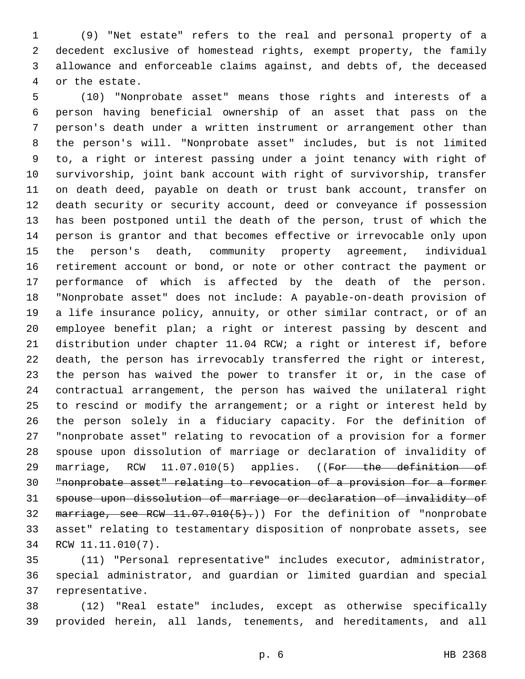(9) "Net estate" refers to the real and personal property of a decedent exclusive of homestead rights, exempt property, the family allowance and enforceable claims against, and debts of, the deceased 4 or the estate.

 (10) "Nonprobate asset" means those rights and interests of a person having beneficial ownership of an asset that pass on the person's death under a written instrument or arrangement other than the person's will. "Nonprobate asset" includes, but is not limited to, a right or interest passing under a joint tenancy with right of survivorship, joint bank account with right of survivorship, transfer on death deed, payable on death or trust bank account, transfer on death security or security account, deed or conveyance if possession has been postponed until the death of the person, trust of which the person is grantor and that becomes effective or irrevocable only upon the person's death, community property agreement, individual retirement account or bond, or note or other contract the payment or performance of which is affected by the death of the person. "Nonprobate asset" does not include: A payable-on-death provision of a life insurance policy, annuity, or other similar contract, or of an employee benefit plan; a right or interest passing by descent and distribution under chapter 11.04 RCW; a right or interest if, before death, the person has irrevocably transferred the right or interest, the person has waived the power to transfer it or, in the case of contractual arrangement, the person has waived the unilateral right to rescind or modify the arrangement; or a right or interest held by the person solely in a fiduciary capacity. For the definition of "nonprobate asset" relating to revocation of a provision for a former spouse upon dissolution of marriage or declaration of invalidity of 29 marriage, RCW 11.07.010(5) applies. ((For the definition of "nonprobate asset" relating to revocation of a provision for a former spouse upon dissolution of marriage or declaration of invalidity of 32 marriage, see RCW 11.07.010(5).) For the definition of "nonprobate asset" relating to testamentary disposition of nonprobate assets, see 34 RCW 11.11.010(7).

 (11) "Personal representative" includes executor, administrator, special administrator, and guardian or limited guardian and special 37 representative.

 (12) "Real estate" includes, except as otherwise specifically provided herein, all lands, tenements, and hereditaments, and all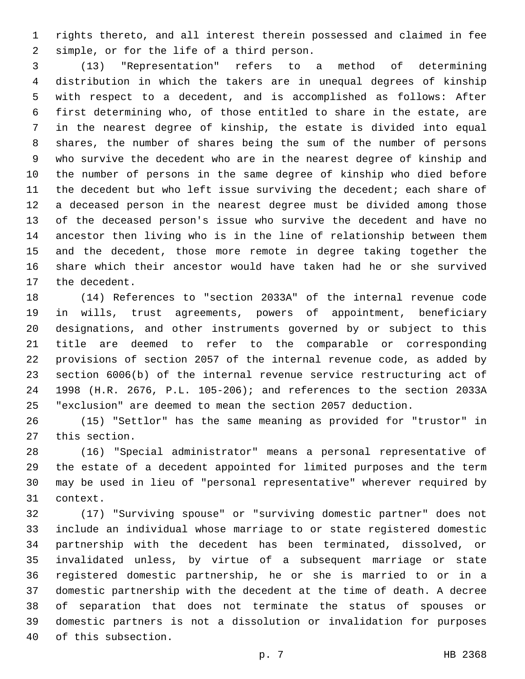rights thereto, and all interest therein possessed and claimed in fee 2 simple, or for the life of a third person.

 (13) "Representation" refers to a method of determining distribution in which the takers are in unequal degrees of kinship with respect to a decedent, and is accomplished as follows: After first determining who, of those entitled to share in the estate, are in the nearest degree of kinship, the estate is divided into equal shares, the number of shares being the sum of the number of persons who survive the decedent who are in the nearest degree of kinship and the number of persons in the same degree of kinship who died before the decedent but who left issue surviving the decedent; each share of a deceased person in the nearest degree must be divided among those of the deceased person's issue who survive the decedent and have no ancestor then living who is in the line of relationship between them and the decedent, those more remote in degree taking together the share which their ancestor would have taken had he or she survived 17 the decedent.

 (14) References to "section 2033A" of the internal revenue code in wills, trust agreements, powers of appointment, beneficiary designations, and other instruments governed by or subject to this title are deemed to refer to the comparable or corresponding provisions of section 2057 of the internal revenue code, as added by section 6006(b) of the internal revenue service restructuring act of 1998 (H.R. 2676, P.L. 105-206); and references to the section 2033A "exclusion" are deemed to mean the section 2057 deduction.

 (15) "Settlor" has the same meaning as provided for "trustor" in 27 this section.

 (16) "Special administrator" means a personal representative of the estate of a decedent appointed for limited purposes and the term may be used in lieu of "personal representative" wherever required by 31 context.

 (17) "Surviving spouse" or "surviving domestic partner" does not include an individual whose marriage to or state registered domestic partnership with the decedent has been terminated, dissolved, or invalidated unless, by virtue of a subsequent marriage or state registered domestic partnership, he or she is married to or in a domestic partnership with the decedent at the time of death. A decree of separation that does not terminate the status of spouses or domestic partners is not a dissolution or invalidation for purposes 40 of this subsection.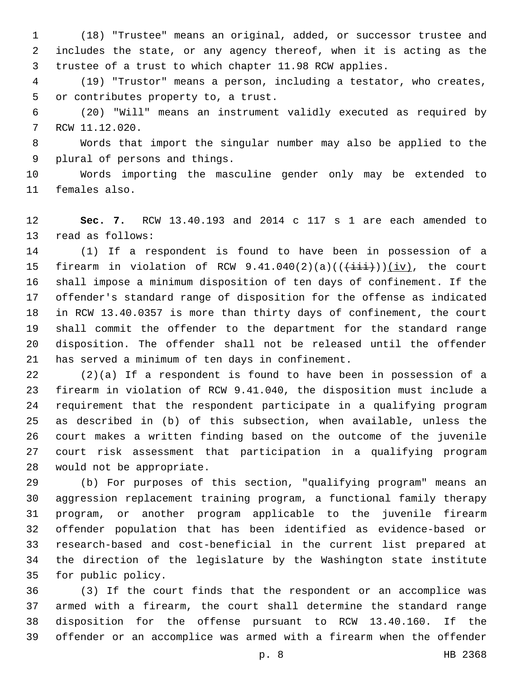(18) "Trustee" means an original, added, or successor trustee and includes the state, or any agency thereof, when it is acting as the trustee of a trust to which chapter 11.98 RCW applies.

 (19) "Trustor" means a person, including a testator, who creates, 5 or contributes property to, a trust.

 (20) "Will" means an instrument validly executed as required by 7 RCW 11.12.020.

 Words that import the singular number may also be applied to the 9 plural of persons and things.

 Words importing the masculine gender only may be extended to 11 females also.

 **Sec. 7.** RCW 13.40.193 and 2014 c 117 s 1 are each amended to 13 read as follows:

 (1) If a respondent is found to have been in possession of a 15 firearm in violation of RCW  $9.41.040(2)(a)((\overrightarrow{iii}))(iv)$ , the court shall impose a minimum disposition of ten days of confinement. If the offender's standard range of disposition for the offense as indicated in RCW 13.40.0357 is more than thirty days of confinement, the court shall commit the offender to the department for the standard range disposition. The offender shall not be released until the offender 21 has served a minimum of ten days in confinement.

 (2)(a) If a respondent is found to have been in possession of a firearm in violation of RCW 9.41.040, the disposition must include a requirement that the respondent participate in a qualifying program as described in (b) of this subsection, when available, unless the court makes a written finding based on the outcome of the juvenile court risk assessment that participation in a qualifying program 28 would not be appropriate.

 (b) For purposes of this section, "qualifying program" means an aggression replacement training program, a functional family therapy program, or another program applicable to the juvenile firearm offender population that has been identified as evidence-based or research-based and cost-beneficial in the current list prepared at the direction of the legislature by the Washington state institute 35 for public policy.

 (3) If the court finds that the respondent or an accomplice was armed with a firearm, the court shall determine the standard range disposition for the offense pursuant to RCW 13.40.160. If the offender or an accomplice was armed with a firearm when the offender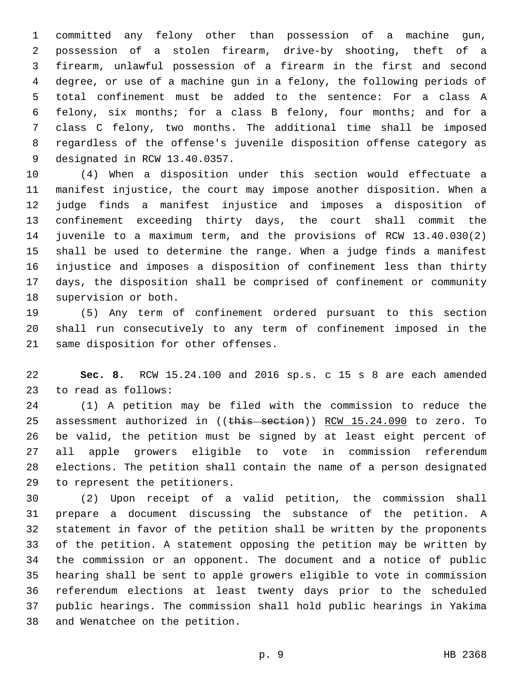committed any felony other than possession of a machine gun, possession of a stolen firearm, drive-by shooting, theft of a firearm, unlawful possession of a firearm in the first and second degree, or use of a machine gun in a felony, the following periods of total confinement must be added to the sentence: For a class A felony, six months; for a class B felony, four months; and for a class C felony, two months. The additional time shall be imposed regardless of the offense's juvenile disposition offense category as 9 designated in RCW 13.40.0357.

 (4) When a disposition under this section would effectuate a manifest injustice, the court may impose another disposition. When a judge finds a manifest injustice and imposes a disposition of confinement exceeding thirty days, the court shall commit the juvenile to a maximum term, and the provisions of RCW 13.40.030(2) shall be used to determine the range. When a judge finds a manifest injustice and imposes a disposition of confinement less than thirty days, the disposition shall be comprised of confinement or community 18 supervision or both.

 (5) Any term of confinement ordered pursuant to this section shall run consecutively to any term of confinement imposed in the 21 same disposition for other offenses.

 **Sec. 8.** RCW 15.24.100 and 2016 sp.s. c 15 s 8 are each amended 23 to read as follows:

 (1) A petition may be filed with the commission to reduce the 25 assessment authorized in ((this section)) RCW 15.24.090 to zero. To be valid, the petition must be signed by at least eight percent of all apple growers eligible to vote in commission referendum elections. The petition shall contain the name of a person designated 29 to represent the petitioners.

 (2) Upon receipt of a valid petition, the commission shall prepare a document discussing the substance of the petition. A statement in favor of the petition shall be written by the proponents of the petition. A statement opposing the petition may be written by the commission or an opponent. The document and a notice of public hearing shall be sent to apple growers eligible to vote in commission referendum elections at least twenty days prior to the scheduled public hearings. The commission shall hold public hearings in Yakima 38 and Wenatchee on the petition.

p. 9 HB 2368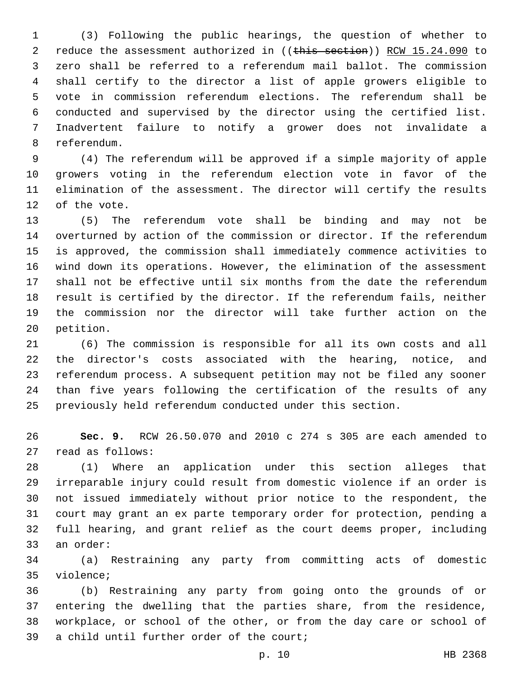(3) Following the public hearings, the question of whether to 2 reduce the assessment authorized in ((this section)) RCW 15.24.090 to zero shall be referred to a referendum mail ballot. The commission shall certify to the director a list of apple growers eligible to vote in commission referendum elections. The referendum shall be conducted and supervised by the director using the certified list. Inadvertent failure to notify a grower does not invalidate a 8 referendum.

 (4) The referendum will be approved if a simple majority of apple growers voting in the referendum election vote in favor of the elimination of the assessment. The director will certify the results 12 of the vote.

 (5) The referendum vote shall be binding and may not be overturned by action of the commission or director. If the referendum is approved, the commission shall immediately commence activities to wind down its operations. However, the elimination of the assessment shall not be effective until six months from the date the referendum result is certified by the director. If the referendum fails, neither the commission nor the director will take further action on the 20 petition.

 (6) The commission is responsible for all its own costs and all the director's costs associated with the hearing, notice, and referendum process. A subsequent petition may not be filed any sooner than five years following the certification of the results of any previously held referendum conducted under this section.

 **Sec. 9.** RCW 26.50.070 and 2010 c 274 s 305 are each amended to 27 read as follows:

 (1) Where an application under this section alleges that irreparable injury could result from domestic violence if an order is not issued immediately without prior notice to the respondent, the court may grant an ex parte temporary order for protection, pending a full hearing, and grant relief as the court deems proper, including 33 an order:

 (a) Restraining any party from committing acts of domestic 35 violence;

 (b) Restraining any party from going onto the grounds of or entering the dwelling that the parties share, from the residence, workplace, or school of the other, or from the day care or school of 39 a child until further order of the court;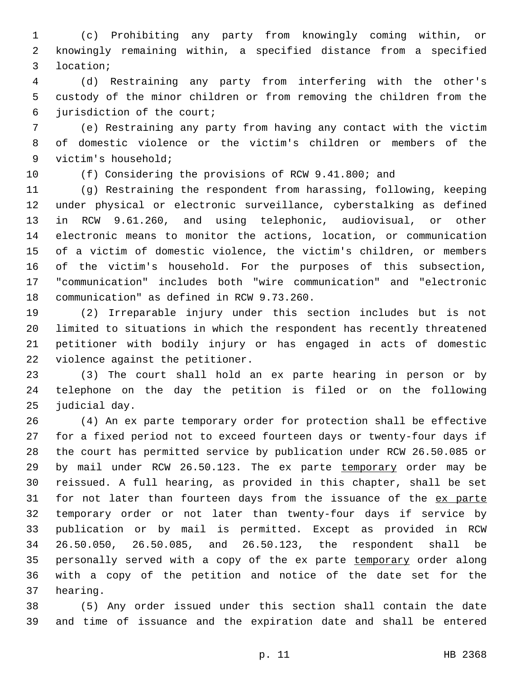(c) Prohibiting any party from knowingly coming within, or knowingly remaining within, a specified distance from a specified location;3

 (d) Restraining any party from interfering with the other's custody of the minor children or from removing the children from the 6 jurisdiction of the court;

 (e) Restraining any party from having any contact with the victim of domestic violence or the victim's children or members of the 9 victim's household;

(f) Considering the provisions of RCW 9.41.800; and

 (g) Restraining the respondent from harassing, following, keeping under physical or electronic surveillance, cyberstalking as defined in RCW 9.61.260, and using telephonic, audiovisual, or other electronic means to monitor the actions, location, or communication of a victim of domestic violence, the victim's children, or members of the victim's household. For the purposes of this subsection, "communication" includes both "wire communication" and "electronic 18 communication" as defined in RCW 9.73.260.

 (2) Irreparable injury under this section includes but is not limited to situations in which the respondent has recently threatened petitioner with bodily injury or has engaged in acts of domestic 22 violence against the petitioner.

 (3) The court shall hold an ex parte hearing in person or by telephone on the day the petition is filed or on the following 25 judicial day.

 (4) An ex parte temporary order for protection shall be effective for a fixed period not to exceed fourteen days or twenty-four days if the court has permitted service by publication under RCW 26.50.085 or by mail under RCW 26.50.123. The ex parte temporary order may be reissued. A full hearing, as provided in this chapter, shall be set 31 for not later than fourteen days from the issuance of the ex parte temporary order or not later than twenty-four days if service by publication or by mail is permitted. Except as provided in RCW 26.50.050, 26.50.085, and 26.50.123, the respondent shall be 35 personally served with a copy of the ex parte temporary order along with a copy of the petition and notice of the date set for the 37 hearing.

 (5) Any order issued under this section shall contain the date and time of issuance and the expiration date and shall be entered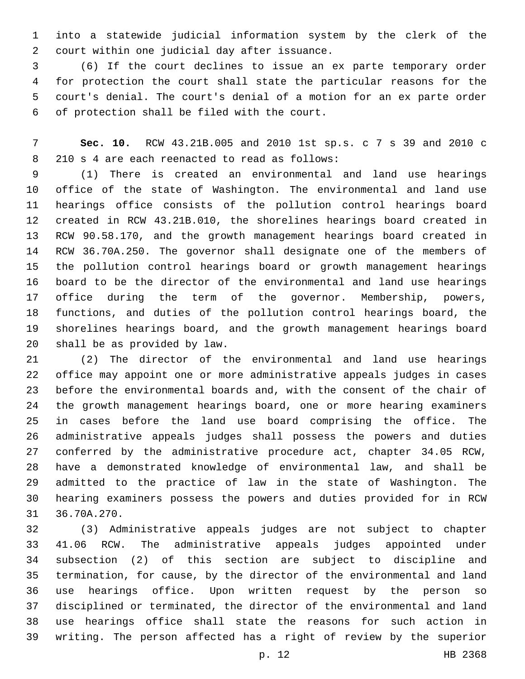into a statewide judicial information system by the clerk of the 2 court within one judicial day after issuance.

 (6) If the court declines to issue an ex parte temporary order for protection the court shall state the particular reasons for the court's denial. The court's denial of a motion for an ex parte order 6 of protection shall be filed with the court.

 **Sec. 10.** RCW 43.21B.005 and 2010 1st sp.s. c 7 s 39 and 2010 c 8 210 s 4 are each reenacted to read as follows:

 (1) There is created an environmental and land use hearings office of the state of Washington. The environmental and land use hearings office consists of the pollution control hearings board created in RCW 43.21B.010, the shorelines hearings board created in RCW 90.58.170, and the growth management hearings board created in RCW 36.70A.250. The governor shall designate one of the members of the pollution control hearings board or growth management hearings board to be the director of the environmental and land use hearings office during the term of the governor. Membership, powers, functions, and duties of the pollution control hearings board, the shorelines hearings board, and the growth management hearings board 20 shall be as provided by law.

 (2) The director of the environmental and land use hearings office may appoint one or more administrative appeals judges in cases before the environmental boards and, with the consent of the chair of the growth management hearings board, one or more hearing examiners in cases before the land use board comprising the office. The administrative appeals judges shall possess the powers and duties conferred by the administrative procedure act, chapter 34.05 RCW, have a demonstrated knowledge of environmental law, and shall be admitted to the practice of law in the state of Washington. The hearing examiners possess the powers and duties provided for in RCW 31 36.70A.270.

 (3) Administrative appeals judges are not subject to chapter 41.06 RCW. The administrative appeals judges appointed under subsection (2) of this section are subject to discipline and termination, for cause, by the director of the environmental and land use hearings office. Upon written request by the person so disciplined or terminated, the director of the environmental and land use hearings office shall state the reasons for such action in writing. The person affected has a right of review by the superior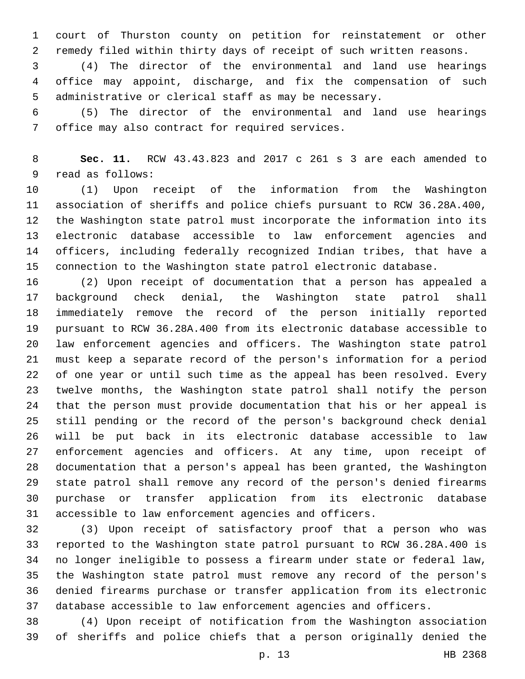court of Thurston county on petition for reinstatement or other remedy filed within thirty days of receipt of such written reasons.

 (4) The director of the environmental and land use hearings office may appoint, discharge, and fix the compensation of such administrative or clerical staff as may be necessary.

 (5) The director of the environmental and land use hearings 7 office may also contract for required services.

 **Sec. 11.** RCW 43.43.823 and 2017 c 261 s 3 are each amended to 9 read as follows:

 (1) Upon receipt of the information from the Washington association of sheriffs and police chiefs pursuant to RCW 36.28A.400, the Washington state patrol must incorporate the information into its electronic database accessible to law enforcement agencies and officers, including federally recognized Indian tribes, that have a connection to the Washington state patrol electronic database.

 (2) Upon receipt of documentation that a person has appealed a background check denial, the Washington state patrol shall immediately remove the record of the person initially reported pursuant to RCW 36.28A.400 from its electronic database accessible to law enforcement agencies and officers. The Washington state patrol must keep a separate record of the person's information for a period of one year or until such time as the appeal has been resolved. Every twelve months, the Washington state patrol shall notify the person that the person must provide documentation that his or her appeal is still pending or the record of the person's background check denial will be put back in its electronic database accessible to law enforcement agencies and officers. At any time, upon receipt of documentation that a person's appeal has been granted, the Washington state patrol shall remove any record of the person's denied firearms purchase or transfer application from its electronic database accessible to law enforcement agencies and officers.

 (3) Upon receipt of satisfactory proof that a person who was reported to the Washington state patrol pursuant to RCW 36.28A.400 is no longer ineligible to possess a firearm under state or federal law, the Washington state patrol must remove any record of the person's denied firearms purchase or transfer application from its electronic database accessible to law enforcement agencies and officers.

 (4) Upon receipt of notification from the Washington association of sheriffs and police chiefs that a person originally denied the

p. 13 HB 2368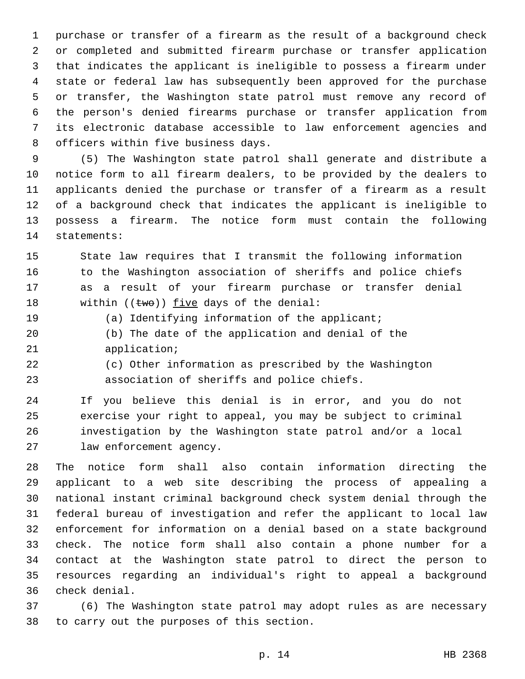purchase or transfer of a firearm as the result of a background check or completed and submitted firearm purchase or transfer application that indicates the applicant is ineligible to possess a firearm under state or federal law has subsequently been approved for the purchase or transfer, the Washington state patrol must remove any record of the person's denied firearms purchase or transfer application from its electronic database accessible to law enforcement agencies and 8 officers within five business days.

 (5) The Washington state patrol shall generate and distribute a notice form to all firearm dealers, to be provided by the dealers to applicants denied the purchase or transfer of a firearm as a result of a background check that indicates the applicant is ineligible to possess a firearm. The notice form must contain the following 14 statements:

 State law requires that I transmit the following information 16 to the Washington association of sheriffs and police chiefs as a result of your firearm purchase or transfer denial 18 within  $((two))$  five days of the denial:

(a) Identifying information of the applicant;

- (b) The date of the application and denial of the 21 application;
- (c) Other information as prescribed by the Washington association of sheriffs and police chiefs.

 If you believe this denial is in error, and you do not exercise your right to appeal, you may be subject to criminal investigation by the Washington state patrol and/or a local 27 law enforcement agency.

 The notice form shall also contain information directing the applicant to a web site describing the process of appealing a national instant criminal background check system denial through the federal bureau of investigation and refer the applicant to local law enforcement for information on a denial based on a state background check. The notice form shall also contain a phone number for a contact at the Washington state patrol to direct the person to resources regarding an individual's right to appeal a background check denial.36

 (6) The Washington state patrol may adopt rules as are necessary 38 to carry out the purposes of this section.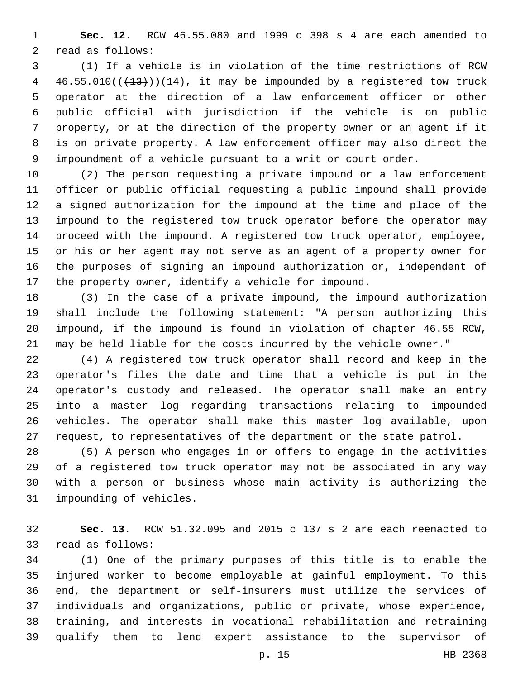**Sec. 12.** RCW 46.55.080 and 1999 c 398 s 4 are each amended to 2 read as follows:

 (1) If a vehicle is in violation of the time restrictions of RCW  $46.55.010((+13))(14)$ , it may be impounded by a registered tow truck operator at the direction of a law enforcement officer or other public official with jurisdiction if the vehicle is on public property, or at the direction of the property owner or an agent if it is on private property. A law enforcement officer may also direct the impoundment of a vehicle pursuant to a writ or court order.

 (2) The person requesting a private impound or a law enforcement officer or public official requesting a public impound shall provide a signed authorization for the impound at the time and place of the impound to the registered tow truck operator before the operator may proceed with the impound. A registered tow truck operator, employee, or his or her agent may not serve as an agent of a property owner for the purposes of signing an impound authorization or, independent of the property owner, identify a vehicle for impound.

 (3) In the case of a private impound, the impound authorization shall include the following statement: "A person authorizing this impound, if the impound is found in violation of chapter 46.55 RCW, may be held liable for the costs incurred by the vehicle owner."

 (4) A registered tow truck operator shall record and keep in the operator's files the date and time that a vehicle is put in the operator's custody and released. The operator shall make an entry into a master log regarding transactions relating to impounded vehicles. The operator shall make this master log available, upon request, to representatives of the department or the state patrol.

 (5) A person who engages in or offers to engage in the activities of a registered tow truck operator may not be associated in any way with a person or business whose main activity is authorizing the 31 impounding of vehicles.

 **Sec. 13.** RCW 51.32.095 and 2015 c 137 s 2 are each reenacted to 33 read as follows:

 (1) One of the primary purposes of this title is to enable the injured worker to become employable at gainful employment. To this end, the department or self-insurers must utilize the services of individuals and organizations, public or private, whose experience, training, and interests in vocational rehabilitation and retraining qualify them to lend expert assistance to the supervisor of

p. 15 HB 2368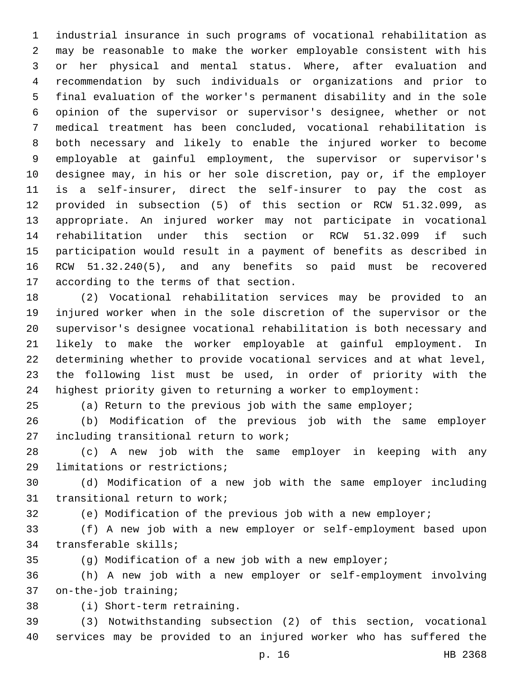industrial insurance in such programs of vocational rehabilitation as may be reasonable to make the worker employable consistent with his or her physical and mental status. Where, after evaluation and recommendation by such individuals or organizations and prior to final evaluation of the worker's permanent disability and in the sole opinion of the supervisor or supervisor's designee, whether or not medical treatment has been concluded, vocational rehabilitation is both necessary and likely to enable the injured worker to become employable at gainful employment, the supervisor or supervisor's designee may, in his or her sole discretion, pay or, if the employer is a self-insurer, direct the self-insurer to pay the cost as provided in subsection (5) of this section or RCW 51.32.099, as appropriate. An injured worker may not participate in vocational rehabilitation under this section or RCW 51.32.099 if such participation would result in a payment of benefits as described in RCW 51.32.240(5), and any benefits so paid must be recovered 17 according to the terms of that section.

 (2) Vocational rehabilitation services may be provided to an injured worker when in the sole discretion of the supervisor or the supervisor's designee vocational rehabilitation is both necessary and likely to make the worker employable at gainful employment. In determining whether to provide vocational services and at what level, the following list must be used, in order of priority with the highest priority given to returning a worker to employment:

(a) Return to the previous job with the same employer;

 (b) Modification of the previous job with the same employer 27 including transitional return to work;

 (c) A new job with the same employer in keeping with any 29 limitations or restrictions;

 (d) Modification of a new job with the same employer including 31 transitional return to work;

(e) Modification of the previous job with a new employer;

 (f) A new job with a new employer or self-employment based upon 34 transferable skills;

(g) Modification of a new job with a new employer;

 (h) A new job with a new employer or self-employment involving 37 on-the-job training;

(i) Short-term retraining.38

 (3) Notwithstanding subsection (2) of this section, vocational services may be provided to an injured worker who has suffered the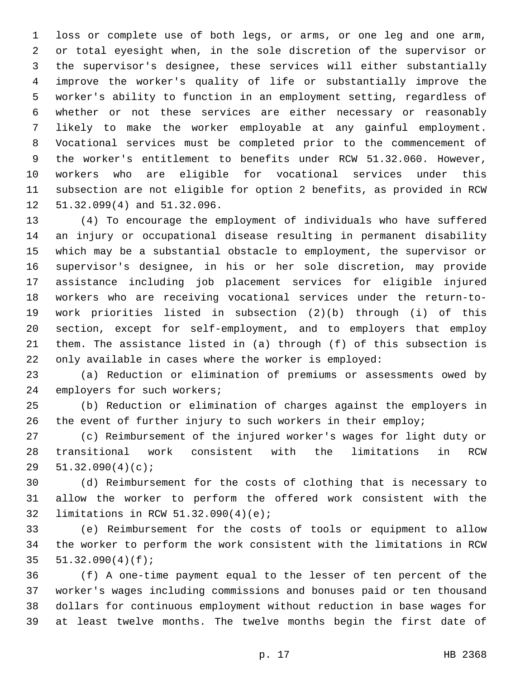loss or complete use of both legs, or arms, or one leg and one arm, or total eyesight when, in the sole discretion of the supervisor or the supervisor's designee, these services will either substantially improve the worker's quality of life or substantially improve the worker's ability to function in an employment setting, regardless of whether or not these services are either necessary or reasonably likely to make the worker employable at any gainful employment. Vocational services must be completed prior to the commencement of the worker's entitlement to benefits under RCW 51.32.060. However, workers who are eligible for vocational services under this subsection are not eligible for option 2 benefits, as provided in RCW 12 51.32.099(4) and 51.32.096.

 (4) To encourage the employment of individuals who have suffered an injury or occupational disease resulting in permanent disability which may be a substantial obstacle to employment, the supervisor or supervisor's designee, in his or her sole discretion, may provide assistance including job placement services for eligible injured workers who are receiving vocational services under the return-to- work priorities listed in subsection (2)(b) through (i) of this section, except for self-employment, and to employers that employ them. The assistance listed in (a) through (f) of this subsection is only available in cases where the worker is employed:

 (a) Reduction or elimination of premiums or assessments owed by 24 employers for such workers;

 (b) Reduction or elimination of charges against the employers in the event of further injury to such workers in their employ;

 (c) Reimbursement of the injured worker's wages for light duty or transitional work consistent with the limitations in RCW 29  $51.32.090(4)(c);$ 

 (d) Reimbursement for the costs of clothing that is necessary to allow the worker to perform the offered work consistent with the 32 limitations in RCW 51.32.090(4)(e);

 (e) Reimbursement for the costs of tools or equipment to allow the worker to perform the work consistent with the limitations in RCW  $51.32.090(4)(f);$ 

 (f) A one-time payment equal to the lesser of ten percent of the worker's wages including commissions and bonuses paid or ten thousand dollars for continuous employment without reduction in base wages for at least twelve months. The twelve months begin the first date of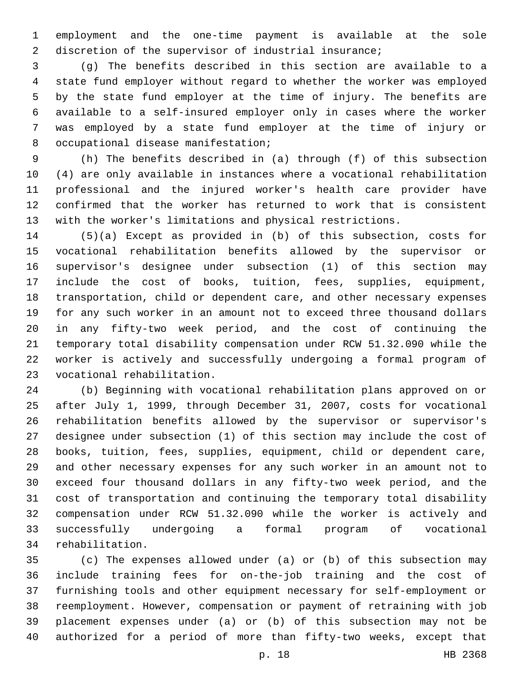employment and the one-time payment is available at the sole 2 discretion of the supervisor of industrial insurance;

 (g) The benefits described in this section are available to a state fund employer without regard to whether the worker was employed by the state fund employer at the time of injury. The benefits are available to a self-insured employer only in cases where the worker was employed by a state fund employer at the time of injury or 8 occupational disease manifestation;

 (h) The benefits described in (a) through (f) of this subsection (4) are only available in instances where a vocational rehabilitation professional and the injured worker's health care provider have confirmed that the worker has returned to work that is consistent with the worker's limitations and physical restrictions.

 (5)(a) Except as provided in (b) of this subsection, costs for vocational rehabilitation benefits allowed by the supervisor or supervisor's designee under subsection (1) of this section may include the cost of books, tuition, fees, supplies, equipment, transportation, child or dependent care, and other necessary expenses for any such worker in an amount not to exceed three thousand dollars in any fifty-two week period, and the cost of continuing the temporary total disability compensation under RCW 51.32.090 while the worker is actively and successfully undergoing a formal program of 23 vocational rehabilitation.

 (b) Beginning with vocational rehabilitation plans approved on or after July 1, 1999, through December 31, 2007, costs for vocational rehabilitation benefits allowed by the supervisor or supervisor's designee under subsection (1) of this section may include the cost of books, tuition, fees, supplies, equipment, child or dependent care, and other necessary expenses for any such worker in an amount not to exceed four thousand dollars in any fifty-two week period, and the cost of transportation and continuing the temporary total disability compensation under RCW 51.32.090 while the worker is actively and successfully undergoing a formal program of vocational 34 rehabilitation.

 (c) The expenses allowed under (a) or (b) of this subsection may include training fees for on-the-job training and the cost of furnishing tools and other equipment necessary for self-employment or reemployment. However, compensation or payment of retraining with job placement expenses under (a) or (b) of this subsection may not be authorized for a period of more than fifty-two weeks, except that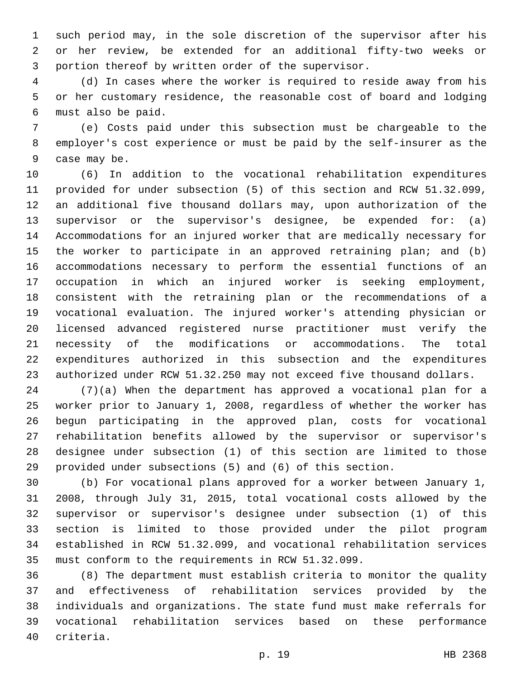such period may, in the sole discretion of the supervisor after his or her review, be extended for an additional fifty-two weeks or portion thereof by written order of the supervisor.

 (d) In cases where the worker is required to reside away from his or her customary residence, the reasonable cost of board and lodging must also be paid.6

 (e) Costs paid under this subsection must be chargeable to the employer's cost experience or must be paid by the self-insurer as the 9 case may be.

 (6) In addition to the vocational rehabilitation expenditures provided for under subsection (5) of this section and RCW 51.32.099, an additional five thousand dollars may, upon authorization of the supervisor or the supervisor's designee, be expended for: (a) Accommodations for an injured worker that are medically necessary for the worker to participate in an approved retraining plan; and (b) accommodations necessary to perform the essential functions of an occupation in which an injured worker is seeking employment, consistent with the retraining plan or the recommendations of a vocational evaluation. The injured worker's attending physician or licensed advanced registered nurse practitioner must verify the necessity of the modifications or accommodations. The total expenditures authorized in this subsection and the expenditures authorized under RCW 51.32.250 may not exceed five thousand dollars.

 (7)(a) When the department has approved a vocational plan for a worker prior to January 1, 2008, regardless of whether the worker has begun participating in the approved plan, costs for vocational rehabilitation benefits allowed by the supervisor or supervisor's designee under subsection (1) of this section are limited to those provided under subsections (5) and (6) of this section.

 (b) For vocational plans approved for a worker between January 1, 2008, through July 31, 2015, total vocational costs allowed by the supervisor or supervisor's designee under subsection (1) of this section is limited to those provided under the pilot program established in RCW 51.32.099, and vocational rehabilitation services must conform to the requirements in RCW 51.32.099.

 (8) The department must establish criteria to monitor the quality and effectiveness of rehabilitation services provided by the individuals and organizations. The state fund must make referrals for vocational rehabilitation services based on these performance 40 criteria.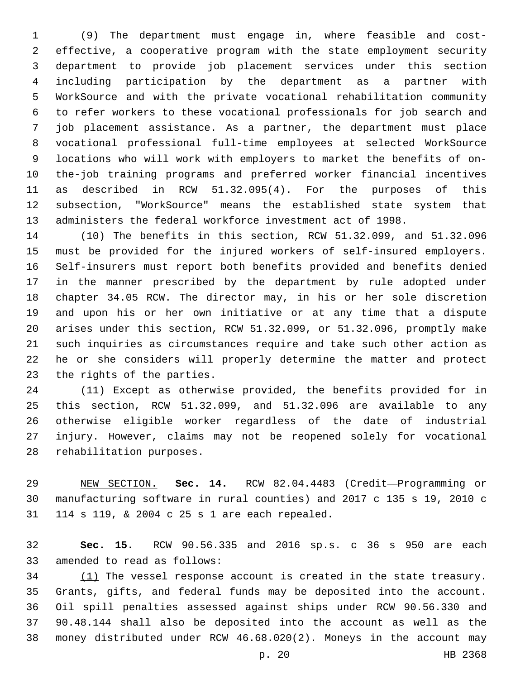(9) The department must engage in, where feasible and cost- effective, a cooperative program with the state employment security department to provide job placement services under this section including participation by the department as a partner with WorkSource and with the private vocational rehabilitation community to refer workers to these vocational professionals for job search and job placement assistance. As a partner, the department must place vocational professional full-time employees at selected WorkSource locations who will work with employers to market the benefits of on- the-job training programs and preferred worker financial incentives as described in RCW 51.32.095(4). For the purposes of this subsection, "WorkSource" means the established state system that administers the federal workforce investment act of 1998.

 (10) The benefits in this section, RCW 51.32.099, and 51.32.096 must be provided for the injured workers of self-insured employers. Self-insurers must report both benefits provided and benefits denied in the manner prescribed by the department by rule adopted under chapter 34.05 RCW. The director may, in his or her sole discretion and upon his or her own initiative or at any time that a dispute arises under this section, RCW 51.32.099, or 51.32.096, promptly make such inquiries as circumstances require and take such other action as he or she considers will properly determine the matter and protect 23 the rights of the parties.

 (11) Except as otherwise provided, the benefits provided for in this section, RCW 51.32.099, and 51.32.096 are available to any otherwise eligible worker regardless of the date of industrial injury. However, claims may not be reopened solely for vocational 28 rehabilitation purposes.

 NEW SECTION. **Sec. 14.** RCW 82.04.4483 (Credit—Programming or manufacturing software in rural counties) and 2017 c 135 s 19, 2010 c 114 s 119, & 2004 c 25 s 1 are each repealed.

 **Sec. 15.** RCW 90.56.335 and 2016 sp.s. c 36 s 950 are each 33 amended to read as follows:

 (1) The vessel response account is created in the state treasury. Grants, gifts, and federal funds may be deposited into the account. Oil spill penalties assessed against ships under RCW 90.56.330 and 90.48.144 shall also be deposited into the account as well as the money distributed under RCW 46.68.020(2). Moneys in the account may